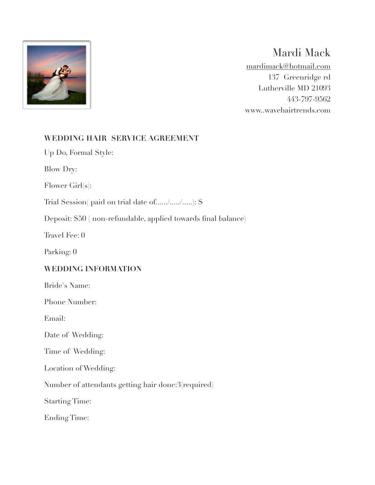

## Mardi Mack

mardimack@hotmail.com 137 Greenridge rd Lutherville MD 21093 443-797-9562 www..wavehairtrends.com

## **WEDDING HAIR SERVICE AGREEMENT**

Up Do, Formal Style:

Blow Dry:

Flower Girl(s):

Trial Session( paid on trial date of....../...../.....): \$

Deposit: \$50 ( non-refundable, applied towards final balance)

Travel Fee: 0

Parking: 0

## **WEDDING INFORMATION**

Bride's Name:

Phone Number:

Email:

Date of Wedding:

Time of Wedding:

Location of Wedding:

Number of attendants getting hair done:3(required)

Starting Time:

Ending Time: